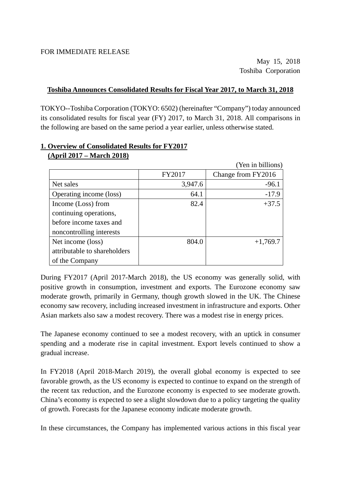#### **Toshiba Announces Consolidated Results for Fiscal Year 2017, to March 31, 2018**

TOKYO--Toshiba Corporation (TOKYO: 6502) (hereinafter "Company") today announced its consolidated results for fiscal year (FY) 2017, to March 31, 2018. All comparisons in the following are based on the same period a year earlier, unless otherwise stated.

|                              |         | (Yen in billions)  |
|------------------------------|---------|--------------------|
|                              | FY2017  | Change from FY2016 |
| Net sales                    | 3,947.6 | $-96.1$            |
| Operating income (loss)      | 64.1    | $-17.9$            |
| Income (Loss) from           | 82.4    | $+37.5$            |
| continuing operations,       |         |                    |
| before income taxes and      |         |                    |
| noncontrolling interests     |         |                    |
| Net income (loss)            | 804.0   | $+1,769.7$         |
| attributable to shareholders |         |                    |
| of the Company               |         |                    |

#### **1. Overview of Consolidated Results for FY2017 (April 2017 – March 2018)**

During FY2017 (April 2017-March 2018), the US economy was generally solid, with positive growth in consumption, investment and exports. The Eurozone economy saw moderate growth, primarily in Germany, though growth slowed in the UK. The Chinese economy saw recovery, including increased investment in infrastructure and exports. Other Asian markets also saw a modest recovery. There was a modest rise in energy prices.

The Japanese economy continued to see a modest recovery, with an uptick in consumer spending and a moderate rise in capital investment. Export levels continued to show a gradual increase.

In FY2018 (April 2018-March 2019), the overall global economy is expected to see favorable growth, as the US economy is expected to continue to expand on the strength of the recent tax reduction, and the Eurozone economy is expected to see moderate growth. China's economy is expected to see a slight slowdown due to a policy targeting the quality of growth. Forecasts for the Japanese economy indicate moderate growth.

In these circumstances, the Company has implemented various actions in this fiscal year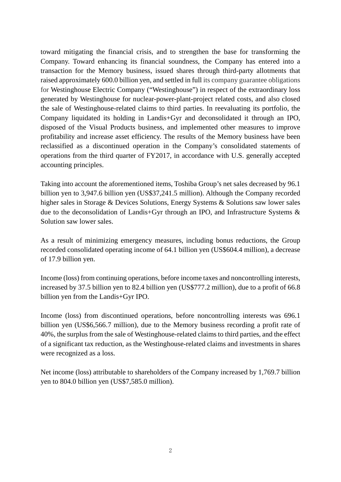toward mitigating the financial crisis, and to strengthen the base for transforming the Company. Toward enhancing its financial soundness, the Company has entered into a transaction for the Memory business, issued shares through third-party allotments that raised approximately 600.0 billion yen, and settled in full its company guarantee obligations for Westinghouse Electric Company ("Westinghouse") in respect of the extraordinary loss generated by Westinghouse for nuclear-power-plant-project related costs, and also closed the sale of Westinghouse-related claims to third parties. In reevaluating its portfolio, the Company liquidated its holding in Landis+Gyr and deconsolidated it through an IPO, disposed of the Visual Products business, and implemented other measures to improve profitability and increase asset efficiency. The results of the Memory business have been reclassified as a discontinued operation in the Company's consolidated statements of operations from the third quarter of FY2017, in accordance with U.S. generally accepted accounting principles.

Taking into account the aforementioned items, Toshiba Group's net sales decreased by 96.1 billion yen to 3,947.6 billion yen (US\$37,241.5 million). Although the Company recorded higher sales in Storage & Devices Solutions, Energy Systems & Solutions saw lower sales due to the deconsolidation of Landis+Gyr through an IPO, and Infrastructure Systems & Solution saw lower sales.

As a result of minimizing emergency measures, including bonus reductions, the Group recorded consolidated operating income of 64.1 billion yen (US\$604.4 million), a decrease of 17.9 billion yen.

Income (loss) from continuing operations, before income taxes and noncontrolling interests, increased by 37.5 billion yen to 82.4 billion yen (US\$777.2 million), due to a profit of 66.8 billion yen from the Landis+Gyr IPO.

Income (loss) from discontinued operations, before noncontrolling interests was 696.1 billion yen (US\$6,566.7 million), due to the Memory business recording a profit rate of 40%, the surplus from the sale of Westinghouse-related claims to third parties, and the effect of a significant tax reduction, as the Westinghouse-related claims and investments in shares were recognized as a loss.

Net income (loss) attributable to shareholders of the Company increased by 1,769.7 billion yen to 804.0 billion yen (US\$7,585.0 million).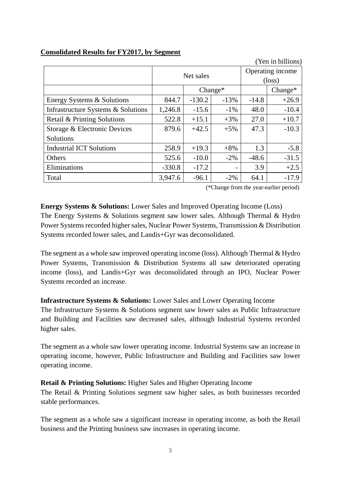| (Yen in billions)                  |          |           |           |                  |                 |  |
|------------------------------------|----------|-----------|-----------|------------------|-----------------|--|
|                                    |          | Net sales |           | Operating income |                 |  |
|                                    |          |           |           |                  | $(\text{loss})$ |  |
|                                    |          |           | $Change*$ |                  | $Change*$       |  |
| Energy Systems & Solutions         | 844.7    | $-130.2$  | $-13%$    | $-14.8$          | $+26.9$         |  |
| Infrastructure Systems & Solutions | 1,246.8  | $-15.6$   | $-1\%$    | 48.0             | $-10.4$         |  |
| Retail & Printing Solutions        | 522.8    | $+15.1$   | $+3%$     | 27.0             | $+10.7$         |  |
| Storage & Electronic Devices       | 879.6    | $+42.5$   | $+5%$     | 47.3             | $-10.3$         |  |
| Solutions                          |          |           |           |                  |                 |  |
| <b>Industrial ICT Solutions</b>    | 258.9    | $+19.3$   | $+8%$     | 1.3              | $-5.8$          |  |
| <b>Others</b>                      | 525.6    | $-10.0$   | $-2\%$    | $-48.6$          | $-31.5$         |  |
| Eliminations                       | $-330.8$ | $-17.2$   |           | 3.9              | $+2.5$          |  |
| Total                              | 3,947.6  | $-96.1$   | $-2\%$    | 64.1             | $-17.9$         |  |

#### **Consolidated Results for FY2017, by Segment**

(\*Change from the year-earlier period)

#### **Energy Systems & Solutions:** Lower Sales and Improved Operating Income (Loss)

The Energy Systems & Solutions segment saw lower sales. Although Thermal & Hydro Power Systems recorded higher sales, Nuclear Power Systems, Transmission & Distribution Systems recorded lower sales, and Landis+Gyr was deconsolidated.

The segment as a whole saw improved operating income (loss). Although Thermal & Hydro Power Systems, Transmission & Distribution Systems all saw deteriorated operating income (loss), and Landis+Gyr was deconsolidated through an IPO, Nuclear Power Systems recorded an increase.

#### **Infrastructure Systems & Solutions:** Lower Sales and Lower Operating Income

The Infrastructure Systems & Solutions segment saw lower sales as Public Infrastructure and Building and Facilities saw decreased sales, although Industrial Systems recorded higher sales.

The segment as a whole saw lower operating income. Industrial Systems saw an increase in operating income, however, Public Infrastructure and Building and Facilities saw lower operating income.

#### **Retail & Printing Solutions:** Higher Sales and Higher Operating Income

The Retail & Printing Solutions segment saw higher sales, as both businesses recorded stable performances.

The segment as a whole saw a significant increase in operating income, as both the Retail business and the Printing business saw increases in operating income.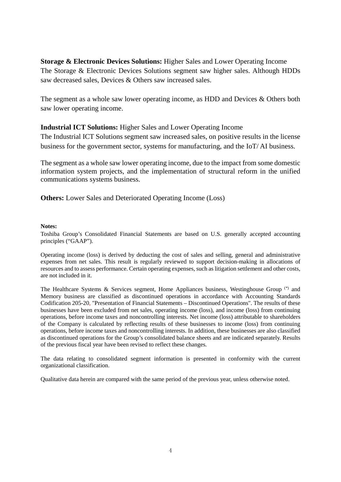**Storage & Electronic Devices Solutions:** Higher Sales and Lower Operating Income The Storage & Electronic Devices Solutions segment saw higher sales. Although HDDs saw decreased sales, Devices & Others saw increased sales.

The segment as a whole saw lower operating income, as HDD and Devices & Others both saw lower operating income.

#### **Industrial ICT Solutions:** Higher Sales and Lower Operating Income

The Industrial ICT Solutions segment saw increased sales, on positive results in the license business for the government sector, systems for manufacturing, and the IoT/ AI business.

The segment as a whole saw lower operating income, due to the impact from some domestic information system projects, and the implementation of structural reform in the unified communications systems business.

**Others:** Lower Sales and Deteriorated Operating Income (Loss)

#### **Notes:**

Toshiba Group's Consolidated Financial Statements are based on U.S. generally accepted accounting principles ("GAAP").

Operating income (loss) is derived by deducting the cost of sales and selling, general and administrative expenses from net sales. This result is regularly reviewed to support decision-making in allocations of resources and to assess performance. Certain operating expenses, such as litigation settlement and other costs, are not included in it.

The Healthcare Systems & Services segment, Home Appliances business, Westinghouse Group  $(*)$  and Memory business are classified as discontinued operations in accordance with Accounting Standards Codification 205-20, "Presentation of Financial Statements – Discontinued Operations". The results of these businesses have been excluded from net sales, operating income (loss), and income (loss) from continuing operations, before income taxes and noncontrolling interests. Net income (loss) attributable to shareholders of the Company is calculated by reflecting results of these businesses to income (loss) from continuing operations, before income taxes and noncontrolling interests. In addition, these businesses are also classified as discontinued operations for the Group's consolidated balance sheets and are indicated separately. Results of the previous fiscal year have been revised to reflect these changes.

The data relating to consolidated segment information is presented in conformity with the current organizational classification.

Qualitative data herein are compared with the same period of the previous year, unless otherwise noted.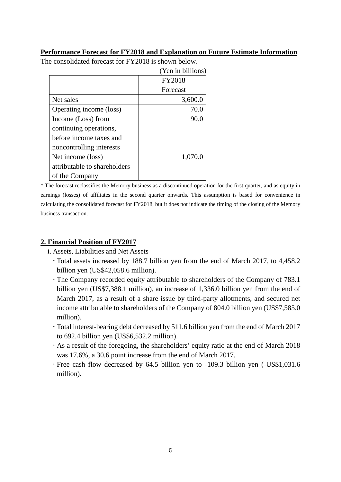#### **Performance Forecast for FY2018 and Explanation on Future Estimate Information**

 $(XZ - 1.111)$ 

|                              | ren in billions) |
|------------------------------|------------------|
|                              | <b>FY2018</b>    |
|                              | Forecast         |
| Net sales                    | 3,600.0          |
| Operating income (loss)      | 70.0             |
| Income (Loss) from           | 90.0             |
| continuing operations,       |                  |
| before income taxes and      |                  |
| noncontrolling interests     |                  |
| Net income (loss)            | 1,070.0          |
| attributable to shareholders |                  |
| of the Company               |                  |

The consolidated forecast for FY2018 is shown below.

\* The forecast reclassifies the Memory business as a discontinued operation for the first quarter, and as equity in earnings (losses) of affiliates in the second quarter onwards. This assumption is based for convenience in calculating the consolidated forecast for FY2018, but it does not indicate the timing of the closing of the Memory business transaction.

#### **2. Financial Position of FY2017**

i. Assets, Liabilities and Net Assets

- Total assets increased by 188.7 billion yen from the end of March 2017, to 4,458.2 billion yen (US\$42,058.6 million).
- The Company recorded equity attributable to shareholders of the Company of 783.1 billion yen (US\$7,388.1 million), an increase of 1,336.0 billion yen from the end of March 2017, as a result of a share issue by third-party allotments, and secured net income attributable to shareholders of the Company of 804.0 billion yen (US\$7,585.0 million).
- Total interest-bearing debt decreased by 511.6 billion yen from the end of March 2017 to 692.4 billion yen (US\$6,532.2 million).
- As a result of the foregoing, the shareholders' equity ratio at the end of March 2018 was 17.6%, a 30.6 point increase from the end of March 2017.
- Free cash flow decreased by 64.5 billion yen to -109.3 billion yen (-US\$1,031.6 million).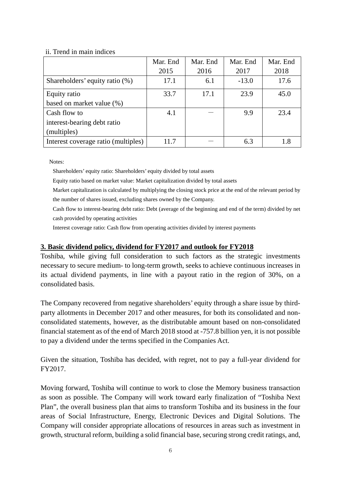#### ii. Trend in main indices

|                                     | Mar. End | Mar. End | Mar. End | Mar. End |
|-------------------------------------|----------|----------|----------|----------|
|                                     | 2015     | 2016     | 2017     | 2018     |
| Shareholders' equity ratio (%)      | 17.1     | 6.1      | $-13.0$  | 17.6     |
| Equity ratio                        | 33.7     | 17.1     | 23.9     | 45.0     |
| based on market value (%)           |          |          |          |          |
| Cash flow to                        | 4.1      |          | 9.9      | 23.4     |
| interest-bearing debt ratio         |          |          |          |          |
| (multiples)                         |          |          |          |          |
| Interest coverage ratio (multiples) | 11.7     |          | 6.3      | 1.8      |

Notes:

Shareholders' equity ratio: Shareholders' equity divided by total assets

Equity ratio based on market value: Market capitalization divided by total assets

- Market capitalization is calculated by multiplying the closing stock price at the end of the relevant period by the number of shares issued, excluding shares owned by the Company.
- Cash flow to interest-bearing debt ratio: Debt (average of the beginning and end of the term) divided by net cash provided by operating activities

Interest coverage ratio: Cash flow from operating activities divided by interest payments

#### **3. Basic dividend policy, dividend for FY2017 and outlook for FY2018**

Toshiba, while giving full consideration to such factors as the strategic investments necessary to secure medium- to long-term growth, seeks to achieve continuous increases in its actual dividend payments, in line with a payout ratio in the region of 30%, on a consolidated basis.

The Company recovered from negative shareholders' equity through a share issue by thirdparty allotments in December 2017 and other measures, for both its consolidated and nonconsolidated statements, however, as the distributable amount based on non-consolidated financial statement as of the end of March 2018 stood at -757.8 billion yen, it is not possible to pay a dividend under the terms specified in the Companies Act.

Given the situation, Toshiba has decided, with regret, not to pay a full-year dividend for FY2017.

Moving forward, Toshiba will continue to work to close the Memory business transaction as soon as possible. The Company will work toward early finalization of "Toshiba Next Plan", the overall business plan that aims to transform Toshiba and its business in the four areas of Social Infrastructure, Energy, Electronic Devices and Digital Solutions. The Company will consider appropriate allocations of resources in areas such as investment in growth, structural reform, building a solid financial base, securing strong credit ratings, and,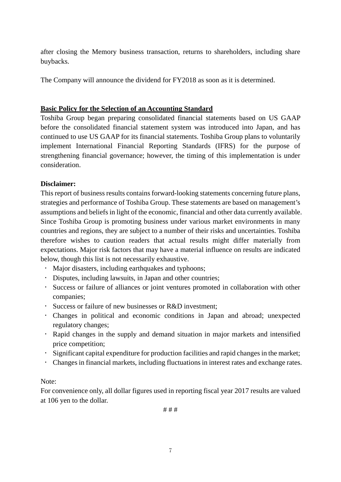after closing the Memory business transaction, returns to shareholders, including share buybacks.

The Company will announce the dividend for FY2018 as soon as it is determined.

#### **Basic Policy for the Selection of an Accounting Standard**

Toshiba Group began preparing consolidated financial statements based on US GAAP before the consolidated financial statement system was introduced into Japan, and has continued to use US GAAP for its financial statements. Toshiba Group plans to voluntarily implement International Financial Reporting Standards (IFRS) for the purpose of strengthening financial governance; however, the timing of this implementation is under consideration.

#### **Disclaimer:**

This report of business results contains forward-looking statements concerning future plans, strategies and performance of Toshiba Group. These statements are based on management's assumptions and beliefs in light of the economic, financial and other data currently available. Since Toshiba Group is promoting business under various market environments in many countries and regions, they are subject to a number of their risks and uncertainties. Toshiba therefore wishes to caution readers that actual results might differ materially from expectations. Major risk factors that may have a material influence on results are indicated below, though this list is not necessarily exhaustive.

- Major disasters, including earthquakes and typhoons;
- Disputes, including lawsuits, in Japan and other countries;
- Success or failure of alliances or joint ventures promoted in collaboration with other companies;
- Success or failure of new businesses or R&D investment;
- Changes in political and economic conditions in Japan and abroad; unexpected regulatory changes;
- Rapid changes in the supply and demand situation in major markets and intensified price competition;
- Significant capital expenditure for production facilities and rapid changes in the market;
- Changes in financial markets, including fluctuations in interest rates and exchange rates.

#### Note:

For convenience only, all dollar figures used in reporting fiscal year 2017 results are valued at 106 yen to the dollar.

# # #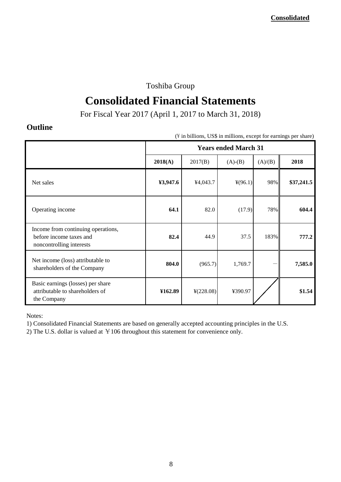## Toshiba Group

# **Consolidated Financial Statements**

For Fiscal Year 2017 (April 1, 2017 to March 31, 2018)

## **Outline**

| (\#\ in billions, US\$ in millions, except for earnings per share)                        |                             |                       |                  |         |            |
|-------------------------------------------------------------------------------------------|-----------------------------|-----------------------|------------------|---------|------------|
|                                                                                           | <b>Years ended March 31</b> |                       |                  |         |            |
|                                                                                           | 2018(A)                     | 2017(B)               | $(A)-(B)$        | (A)/(B) | 2018       |
| Net sales                                                                                 | ¥3,947.6                    | ¥4,043.7              | $\frac{4}{96.1}$ | 98%     | \$37,241.5 |
| Operating income                                                                          | 64.1                        | 82.0                  | (17.9)           | 78%     | 604.4      |
| Income from continuing operations,<br>before income taxes and<br>noncontrolling interests | 82.4                        | 44.9                  | 37.5             | 183%    | 777.2      |
| Net income (loss) attributable to<br>shareholders of the Company                          | 804.0                       | (965.7)               | 1,769.7          |         | 7,585.0    |
| Basic earnings (losses) per share<br>attributable to shareholders of<br>the Company       | ¥162.89                     | $\frac{1}{2}(228.08)$ | ¥390.97          |         | \$1.54     |

Notes:

1) Consolidated Financial Statements are based on generally accepted accounting principles in the U.S.

2) The U.S. dollar is valued at  $\yen$  106 throughout this statement for convenience only.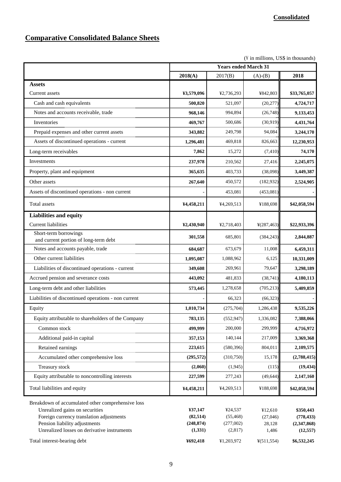## **Comparative Consolidated Balance Sheets**

 $(\frac{y}{x})$  in millions, US\$ in thousands)

|                                                                                                                                 |                      | <b>Years ended March 31</b> |                     |                         |
|---------------------------------------------------------------------------------------------------------------------------------|----------------------|-----------------------------|---------------------|-------------------------|
|                                                                                                                                 | 2018(A)              | 2017(B)                     | $(A)-(B)$           | 2018                    |
| <b>Assets</b>                                                                                                                   |                      |                             |                     |                         |
| Current assets                                                                                                                  | ¥3,579,096           | ¥2,736,293                  | ¥842,803            | \$33,765,057            |
| Cash and cash equivalents                                                                                                       | 500,820              | 521,097                     | (20, 277)           | 4,724,717               |
| Notes and accounts receivable, trade                                                                                            | 968,146              | 994,894                     | (26,748)            | 9,133,453               |
| Inventories                                                                                                                     | 469,767              | 500,686                     | (30, 919)           | 4,431,764               |
| Prepaid expenses and other current assets                                                                                       | 343,882              | 249,798                     | 94,084              | 3,244,170               |
| Assets of discontinued operations - current                                                                                     | 1,296,481            | 469,818                     | 826,663             | 12,230,953              |
| Long-term receivables                                                                                                           | 7,862                | 15,272                      | (7, 410)            | 74,170                  |
| Investments                                                                                                                     | 237,978              | 210,562                     | 27,416              | 2,245,075               |
| Property, plant and equipment                                                                                                   | 365,635              | 403,733                     | (38,098)            | 3,449,387               |
| Other assets                                                                                                                    | 267,640              | 450,572                     | (182, 932)          | 2,524,905               |
| Assets of discontinued operations - non current                                                                                 |                      | 453,081                     | (453, 081)          |                         |
| Total assets                                                                                                                    | ¥4,458,211           | ¥4,269,513                  | ¥188,698            | \$42,058,594            |
| <b>Liabilities and equity</b>                                                                                                   |                      |                             |                     |                         |
| <b>Current liabilities</b>                                                                                                      | ¥2,430,940           | ¥2,718,403                  | ¥(287,463)          | \$22,933,396            |
| Short-term borrowings<br>and current portion of long-term debt                                                                  | 301,558              | 685,801                     | (384, 243)          | 2,844,887               |
| Notes and accounts payable, trade                                                                                               | 684,687              | 673,679                     | 11,008              | 6,459,311               |
| Other current liabilities                                                                                                       | 1,095,087            | 1,088,962                   | 6,125               | 10,331,009              |
| Liabilities of discontinued operations - current                                                                                | 349,608              | 269,961                     | 79,647              | 3,298,189               |
| Accrued pension and severance costs                                                                                             | 443,092              | 481,833                     | (38, 741)           | 4,180,113               |
| Long-term debt and other liabilities                                                                                            | 573,445              | 1,278,658                   | (705, 213)          | 5,409,859               |
| Liabilities of discontinued operations - non current                                                                            |                      | 66,323                      | (66, 323)           |                         |
| Equity                                                                                                                          | 1,010,734            | (275, 704)                  | 1,286,438           | 9,535,226               |
| Equity attributable to shareholders of the Company                                                                              | 783,135              | (552, 947)                  | 1,336,082           | 7,388,066               |
| Common stock                                                                                                                    | 499,999              | 200,000                     | 299,999             | 4,716,972               |
| Additional paid-in capital                                                                                                      | 357,153              | 140,144                     | 217,009             | 3,369,368               |
| Retained earnings                                                                                                               | 223,615              | (580, 396)                  | 804,011             | 2,109,575               |
| Accumulated other comprehensive loss                                                                                            | (295, 572)           | (310,750)                   | 15,178              | (2,788,415)             |
| Treasury stock                                                                                                                  | (2,060)              | (1, 945)                    | (115)               | (19, 434)               |
| Equity attributable to noncontrolling interests                                                                                 | 227,599              | 277,243                     | (49, 644)           | 2,147,160               |
| Total liabilities and equity                                                                                                    | ¥4,458,211           | ¥4,269,513                  | ¥188,698            | \$42,058,594            |
| Breakdown of accumulated other comprehensive loss<br>Unrealized gains on securities<br>Foreign currency translation adjustments | ¥37,147<br>(82, 514) | ¥24,537<br>(55, 468)        | ¥12,610<br>(27,046) | \$350,443<br>(778, 433) |
| Pension liability adjustments                                                                                                   | (248, 874)           | (277,002)                   | 28,128              | (2,347,868)             |
| Unrealized losses on derivative instruments                                                                                     | (1,331)              | (2,817)                     | 1,486               | (12, 557)               |
| Total interest-bearing debt                                                                                                     | ¥692,418             | ¥1,203,972                  | $\frac{4}{511,554}$ | \$6,532,245             |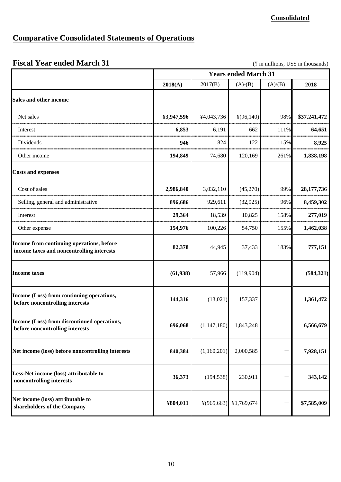#### **Consolidated**

## **Comparative Consolidated Statements of Operations**

## **Fiscal Year ended March 31** (\\ in millions, US\$ in thousands)

|                                                                                        |            |             | <b>Years ended March 31</b>                 |                          |              |
|----------------------------------------------------------------------------------------|------------|-------------|---------------------------------------------|--------------------------|--------------|
|                                                                                        | 2018(A)    | 2017(B)     | $(A)-(B)$                                   | (A)/(B)                  | 2018         |
| Sales and other income                                                                 |            |             |                                             |                          |              |
| Net sales                                                                              | ¥3,947,596 | ¥4,043,736  | 4(96,140)                                   | 98%                      | \$37,241,472 |
| Interest                                                                               | 6,853      | 6,191       | 662                                         | 111%                     | 64,651       |
| Dividends                                                                              | 946        | 824         | 122                                         | 115%                     | 8,925        |
| Other income                                                                           | 194,849    | 74,680      | 120,169                                     | 261%                     | 1,838,198    |
| <b>Costs and expenses</b>                                                              |            |             |                                             |                          |              |
| Cost of sales                                                                          | 2,986,840  | 3,032,110   | (45,270)                                    | 99%                      | 28,177,736   |
| Selling, general and administrative                                                    | 896,686    | 929,611     | (32, 925)                                   | 96%                      | 8,459,302    |
| Interest                                                                               | 29,364     | 18,539      | 10,825                                      | 158%                     | 277,019      |
| Other expense                                                                          | 154,976    | 100,226     | 54,750                                      | 155%                     | 1,462,038    |
| Income from continuing operations, before<br>income taxes and noncontrolling interests | 82,378     | 44,945      | 37,433                                      | 183%                     | 777,151      |
| <b>Income taxes</b>                                                                    | (61, 938)  | 57,966      | (119,904)                                   |                          | (584, 321)   |
| Income (Loss) from continuing operations,<br>before noncontrolling interests           | 144,316    | (13,021)    | 157,337                                     |                          | 1,361,472    |
| Income (Loss) from discontinued operations,<br>before noncontrolling interests         | 696,068    | (1,147,180) | 1,843,248                                   |                          | 6,566,679    |
| Net income (loss) before noncontrolling interests                                      | 840,384    | (1,160,201) | 2,000,585                                   | $\overline{\phantom{0}}$ | 7,928,151    |
| Less:Net income (loss) attributable to<br>noncontrolling interests                     | 36,373     | (194, 538)  | 230,911                                     |                          | 343,142      |
| Net income (loss) attributable to<br>shareholders of the Company                       | ¥804,011   |             | $\frac{1}{2}(965,663)$ \[\epsilon 1,769,674 |                          | \$7,585,009  |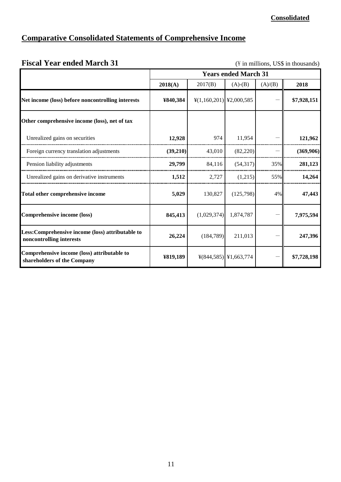#### **Consolidated**

## **Comparative Consolidated Statements of Comprehensive Income**

# Fiscal Year ended March 31 (\frac{Y}{in millions, US\$ in thousands) **2018(A)** 2017(B) (A)-(B) (A)/(B) **2018 Years ended March 31**

| Net income (loss) before noncontrolling interests                             | ¥840,384 | $\frac{1}{2}(1,160,201)$ \epsilon 2000,585 |                                              |     | \$7,928,151 |
|-------------------------------------------------------------------------------|----------|--------------------------------------------|----------------------------------------------|-----|-------------|
| Other comprehensive income (loss), net of tax                                 |          |                                            |                                              |     |             |
| Unrealized gains on securities                                                | 12,928   | 974                                        | 11,954                                       |     | 121,962     |
| Foreign currency translation adjustments                                      | (39,210) | 43,010                                     | (82, 220)                                    |     | (369,906)   |
| Pension liability adjustments                                                 | 29,799   | 84,116                                     | (54,317)                                     | 35% | 281,123     |
| Unrealized gains on derivative instruments                                    | 1,512    | 2,727                                      | (1,215)                                      | 55% | 14,264      |
| Total other comprehensive income                                              | 5,029    | 130,827                                    | (125,798)                                    | 4%  | 47,443      |
| Comprehensive income (loss)                                                   | 845,413  | (1,029,374)                                | 1,874,787                                    |     | 7,975,594   |
| Less: Comprehensive income (loss) attributable to<br>noncontrolling interests | 26,224   | (184, 789)                                 | 211,013                                      |     | 247,396     |
| Comprehensive income (loss) attributable to<br>shareholders of the Company    | ¥819,189 |                                            | $\frac{1}{2}$ (844,585) \[\ended{41,663,774} |     | \$7,728,198 |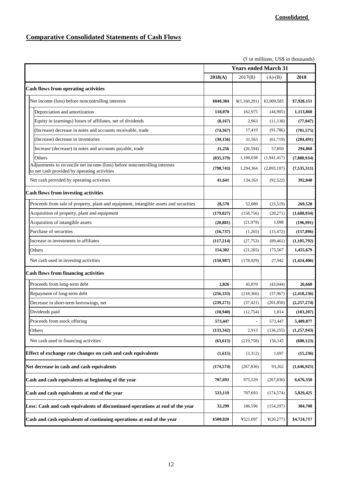#### **Comparative Consolidated Statements of Cash Flows**

|                                                                                                                            |            |                             |                       | $(\frac{y}{x})$ in millions, US\$ in thousands) |
|----------------------------------------------------------------------------------------------------------------------------|------------|-----------------------------|-----------------------|-------------------------------------------------|
|                                                                                                                            |            | <b>Years ended March 31</b> |                       |                                                 |
|                                                                                                                            | 2018(A)    | 2017(B)                     | $(A)-(B)$             | 2018                                            |
| <b>Cash flows from operating activities</b>                                                                                |            |                             |                       |                                                 |
| Net income (loss) before noncontrolling interests                                                                          | ¥840,384   | $\frac{1}{2}(1,160,201)$    | ¥2,000,585            | \$7,928,151                                     |
| Depreciation and amortization                                                                                              | 118,070    | 162,975                     | (44,905)              | 1,113,868                                       |
| Equity in (earnings) losses of affiliates, net of dividends                                                                | (8,167)    | 2,963                       | (11, 130)             | (77, 047)                                       |
| (Increase) decrease in notes and accounts receivable, trade                                                                | (74, 367)  | 17,419                      | (91, 786)             | (701, 575)                                      |
| (Increase) decrease in inventories                                                                                         | (30, 156)  | 31,563                      | (61, 719)             | (284, 491)                                      |
| Increase (decrease) in notes and accounts payable, trade                                                                   | 31,256     | (26, 594)                   | 57,850                | 294,868                                         |
| Others                                                                                                                     | (835,379)  | 1,106,038                   | (1,941,417)           | (7,880,934)                                     |
| Adjustments to reconcile net income (loss) before noncontrolling interests<br>to net cash provided by operating activities | (798, 743) | 1,294,364                   | (2,093,107)           | (7, 535, 311)                                   |
| Net cash provided by operating activities                                                                                  | 41,641     | 134,163                     | (92, 522)             | 392,840                                         |
| <b>Cash flows from investing activities</b>                                                                                |            |                             |                       |                                                 |
| Proceeds from sale of property, plant and equipment, intangible assets and securities                                      | 28,570     | 52.089                      | (23,519)              | 269,528                                         |
| Acquisition of property, plant and equipment                                                                               | (179, 027) | (158, 756)                  | (20, 271)             | (1,688,934)                                     |
| Acquisition of intangible assets                                                                                           | (20, 881)  | (21, 979)                   | 1,098                 | (196, 991)                                      |
| Purchase of securities                                                                                                     | (16, 737)  | (1,265)                     | (15, 472)             | (157, 896)                                      |
| Increase in investments in affiliates                                                                                      | (117, 214) | (27, 753)                   | (89, 461)             | (1, 105, 792)                                   |
| Others                                                                                                                     | 154,302    | (21,265)                    | 175,567               | 1,455,679                                       |
| Net cash used in investing activities                                                                                      | (150, 987) | (178, 929)                  | 27,942                | (1,424,406)                                     |
| <b>Cash flows from financing activities</b>                                                                                |            |                             |                       |                                                 |
| Proceeds from long-term debt                                                                                               | 2,826      | 45,870                      | (43,044)              | 26,660                                          |
| Repayment of long-term debt                                                                                                | (256, 333) | (218, 366)                  | (37, 967)             | (2, 418, 236)                                   |
| Decrease in short-term borrowings, net                                                                                     | (239, 271) | (37, 421)                   | (201, 850)            | (2, 257, 274)                                   |
| Dividends paid                                                                                                             | (10,940)   | (12, 754)                   | 1,814                 | (103, 207)                                      |
| Proceeds from stock offering                                                                                               | 573,447    |                             | 573,447               | 5,409,877                                       |
| Others                                                                                                                     | (133, 342) | 2,913                       | (136, 255)            | (1, 257, 943)                                   |
| Net cash used in financing activities                                                                                      | (63, 613)  | (219, 758)                  | 156,145               | (600, 123)                                      |
| Effect of exchange rate changes on cash and cash equivalents                                                               | (1,615)    | (3,312)                     | 1,697                 | (15,236)                                        |
| Net decrease in cash and cash equivalents                                                                                  | (174, 574) | (267, 836)                  | 93,262                | (1,646,925)                                     |
| Cash and cash equivalents at beginning of the year                                                                         | 707,693    | 975,529                     | (267, 836)            | 6,676,350                                       |
| Cash and cash equivalents at end of the year                                                                               | 533,119    | 707,693                     | (174, 574)            | 5,029,425                                       |
| Less: Cash and cash equivalents of discontinued operations at end of the year                                              | 32,299     | 186,596                     | (154, 297)            | 304,708                                         |
| Cash and cash equivalents of continuing operations at end of the year                                                      | ¥500,820   | ¥521,097                    | $\frac{1}{2}(20,277)$ | \$4,724,717                                     |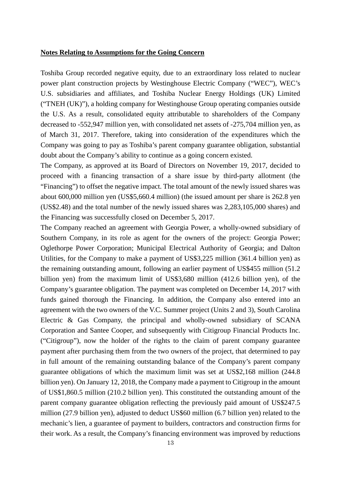#### **Notes Relating to Assumptions for the Going Concern**

Toshiba Group recorded negative equity, due to an extraordinary loss related to nuclear power plant construction projects by Westinghouse Electric Company ("WEC"), WEC's U.S. subsidiaries and affiliates, and Toshiba Nuclear Energy Holdings (UK) Limited ("TNEH (UK)"), a holding company for Westinghouse Group operating companies outside the U.S. As a result, consolidated equity attributable to shareholders of the Company decreased to -552,947 million yen, with consolidated net assets of -275,704 million yen, as of March 31, 2017. Therefore, taking into consideration of the expenditures which the Company was going to pay as Toshiba's parent company guarantee obligation, substantial doubt about the Company's ability to continue as a going concern existed.

The Company, as approved at its Board of Directors on November 19, 2017, decided to proceed with a financing transaction of a share issue by third-party allotment (the "Financing") to offset the negative impact. The total amount of the newly issued shares was about 600,000 million yen (US\$5,660.4 million) (the issued amount per share is 262.8 yen (US\$2.48) and the total number of the newly issued shares was 2,283,105,000 shares) and the Financing was successfully closed on December 5, 2017.

The Company reached an agreement with Georgia Power, a wholly-owned subsidiary of Southern Company, in its role as agent for the owners of the project: Georgia Power; Oglethorpe Power Corporation; Municipal Electrical Authority of Georgia; and Dalton Utilities, for the Company to make a payment of US\$3,225 million (361.4 billion yen) as the remaining outstanding amount, following an earlier payment of US\$455 million (51.2 billion yen) from the maximum limit of US\$3,680 million (412.6 billion yen), of the Company's guarantee obligation. The payment was completed on December 14, 2017 with funds gained thorough the Financing. In addition, the Company also entered into an agreement with the two owners of the V.C. Summer project (Units 2 and 3), South Carolina Electric & Gas Company, the principal and wholly-owned subsidiary of SCANA Corporation and Santee Cooper, and subsequently with Citigroup Financial Products Inc. ("Citigroup"), now the holder of the rights to the claim of parent company guarantee payment after purchasing them from the two owners of the project, that determined to pay in full amount of the remaining outstanding balance of the Company's parent company guarantee obligations of which the maximum limit was set at US\$2,168 million (244.8 billion yen). On January 12, 2018, the Company made a payment to Citigroup in the amount of US\$1,860.5 million (210.2 billion yen). This constituted the outstanding amount of the parent company guarantee obligation reflecting the previously paid amount of US\$247.5 million (27.9 billion yen), adjusted to deduct US\$60 million (6.7 billion yen) related to the mechanic's lien, a guarantee of payment to builders, contractors and construction firms for their work. As a result, the Company's financing environment was improved by reductions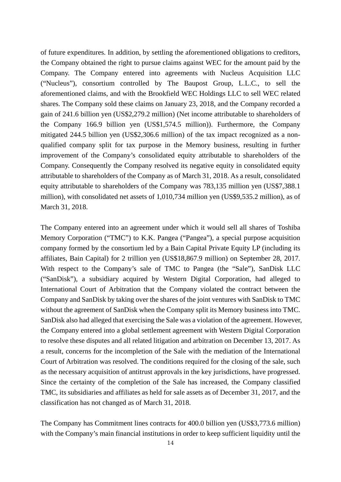of future expenditures. In addition, by settling the aforementioned obligations to creditors, the Company obtained the right to pursue claims against WEC for the amount paid by the Company. The Company entered into agreements with Nucleus Acquisition LLC ("Nucleus"), consortium controlled by The Baupost Group, L.L.C., to sell the aforementioned claims, and with the Brookfield WEC Holdings LLC to sell WEC related shares. The Company sold these claims on January 23, 2018, and the Company recorded a gain of 241.6 billion yen (US\$2,279.2 million) (Net income attributable to shareholders of the Company 166.9 billion yen (US\$1,574.5 million)). Furthermore, the Company mitigated 244.5 billion yen (US\$2,306.6 million) of the tax impact recognized as a nonqualified company split for tax purpose in the Memory business, resulting in further improvement of the Company's consolidated equity attributable to shareholders of the Company. Consequently the Company resolved its negative equity in consolidated equity attributable to shareholders of the Company as of March 31, 2018. As a result, consolidated equity attributable to shareholders of the Company was 783,135 million yen (US\$7,388.1 million), with consolidated net assets of 1,010,734 million yen (US\$9,535.2 million), as of March 31, 2018.

The Company entered into an agreement under which it would sell all shares of Toshiba Memory Corporation ("TMC") to K.K. Pangea ("Pangea"), a special purpose acquisition company formed by the consortium led by a Bain Capital Private Equity LP (including its affiliates, Bain Capital) for 2 trillion yen (US\$18,867.9 million) on September 28, 2017. With respect to the Company's sale of TMC to Pangea (the "Sale"), SanDisk LLC ("SanDisk"), a subsidiary acquired by Western Digital Corporation, had alleged to International Court of Arbitration that the Company violated the contract between the Company and SanDisk by taking over the shares of the joint ventures with SanDisk to TMC without the agreement of SanDisk when the Company split its Memory business into TMC. SanDisk also had alleged that exercising the Sale was a violation of the agreement. However, the Company entered into a global settlement agreement with Western Digital Corporation to resolve these disputes and all related litigation and arbitration on December 13, 2017. As a result, concerns for the incompletion of the Sale with the mediation of the International Court of Arbitration was resolved. The conditions required for the closing of the sale, such as the necessary acquisition of antitrust approvals in the key jurisdictions, have progressed. Since the certainty of the completion of the Sale has increased, the Company classified TMC, its subsidiaries and affiliates as held for sale assets as of December 31, 2017, and the classification has not changed as of March 31, 2018.

The Company has Commitment lines contracts for 400.0 billion yen (US\$3,773.6 million) with the Company's main financial institutions in order to keep sufficient liquidity until the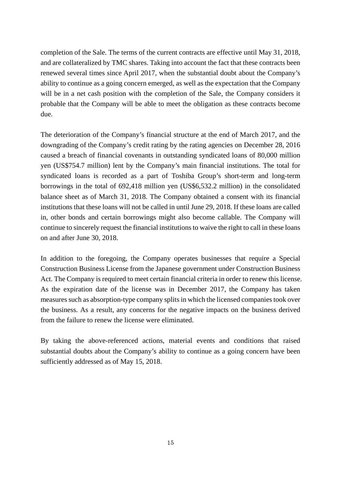completion of the Sale. The terms of the current contracts are effective until May 31, 2018, and are collateralized by TMC shares. Taking into account the fact that these contracts been renewed several times since April 2017, when the substantial doubt about the Company's ability to continue as a going concern emerged, as well as the expectation that the Company will be in a net cash position with the completion of the Sale, the Company considers it probable that the Company will be able to meet the obligation as these contracts become due.

The deterioration of the Company's financial structure at the end of March 2017, and the downgrading of the Company's credit rating by the rating agencies on December 28, 2016 caused a breach of financial covenants in outstanding syndicated loans of 80,000 million yen (US\$754.7 million) lent by the Company's main financial institutions. The total for syndicated loans is recorded as a part of Toshiba Group's short-term and long-term borrowings in the total of 692,418 million yen (US\$6,532.2 million) in the consolidated balance sheet as of March 31, 2018. The Company obtained a consent with its financial institutions that these loans will not be called in until June 29, 2018. If these loans are called in, other bonds and certain borrowings might also become callable. The Company will continue to sincerely request the financial institutionsto waive the right to call in these loans on and after June 30, 2018.

In addition to the foregoing, the Company operates businesses that require a Special Construction Business License from the Japanese government under Construction Business Act. The Company is required to meet certain financial criteria in order to renew this license. As the expiration date of the license was in December 2017, the Company has taken measures such as absorption-type company splits in which the licensed companies took over the business. As a result, any concerns for the negative impacts on the business derived from the failure to renew the license were eliminated.

By taking the above-referenced actions, material events and conditions that raised substantial doubts about the Company's ability to continue as a going concern have been sufficiently addressed as of May 15, 2018.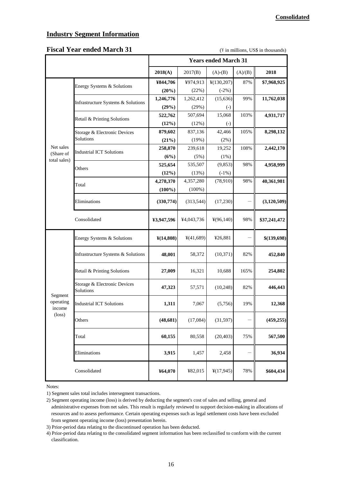#### **Industry Segment Information**

#### **Fiscal Year ended March 31** (\Name in millions, US\$ in thousands)

|                                |                                           | <b>Years ended March 31</b> |            |                        |         |               |
|--------------------------------|-------------------------------------------|-----------------------------|------------|------------------------|---------|---------------|
|                                |                                           | 2018(A)                     | 2017(B)    | $(A)-(B)$              | (A)/(B) | 2018          |
|                                | Energy Systems & Solutions                | ¥844,706                    | ¥974,913   | ¥(130,207)             | 87%     | \$7,968,925   |
|                                |                                           | (20%)                       | (22%)      | $(-2%)$                |         |               |
|                                | Infrastructure Systems & Solutions        | 1,246,776                   | 1,262,412  | (15, 636)              | 99%     | 11,762,038    |
|                                |                                           | (29%)                       | (29%)      | $\left( \cdot \right)$ |         |               |
|                                | Retail & Printing Solutions               | 522,762                     | 507,694    | 15,068                 | 103%    | 4,931,717     |
|                                |                                           | (12%)                       | (12%)      | $\left( -\right)$      |         |               |
|                                | Storage & Electronic Devices              | 879,602                     | 837,136    | 42,466                 | 105%    | 8,298,132     |
|                                | Solutions                                 | (21%)                       | (19%)      | (2%)                   |         |               |
| Net sales<br>(Share of         | <b>Industrial ICT Solutions</b>           | 258,870                     | 239,618    | 19,252                 | 108%    | 2,442,170     |
| total sales)                   |                                           | (6%)                        | (5%)       | (1%)                   |         |               |
|                                | Others                                    | 525,654                     | 535,507    | (9, 853)               | 98%     | 4,958,999     |
|                                |                                           | (12%)                       | (13%)      | $(-1%)$                |         |               |
|                                | Total                                     | 4,278,370                   | 4,357,280  | (78,910)               | 98%     | 40,361,981    |
|                                |                                           | $(100\%)$                   | $(100\%)$  |                        |         |               |
|                                | Eliminations                              | (330,774)                   | (313,544)  | (17,230)               |         | (3, 120, 509) |
|                                | Consolidated                              | ¥3,947,596                  | ¥4,043,736 | $\frac{1}{2}(96,140)$  | 98%     | \$37,241,472  |
|                                | Energy Systems & Solutions                | $\frac{\text{Y}(14,808)}{}$ | ¥(41,689)  | ¥26,881                |         | \$(139,698)   |
|                                | Infrastructure Systems & Solutions        | 48,001                      | 58,372     | (10, 371)              | 82%     | 452,840       |
|                                | Retail & Printing Solutions               | 27,009                      | 16,321     | 10,688                 | 165%    | 254,802       |
|                                | Storage & Electronic Devices<br>Solutions | 47,323                      | 57,571     | (10, 248)              | 82%     | 446,443       |
| Segment<br>operating<br>income | <b>Industrial ICT Solutions</b>           | 1,311                       | 7,067      | (5,756)                | 19%     | 12,368        |
| $(\text{loss})$                | Others                                    | (48, 681)                   | (17,084)   | (31, 597)              |         | (459, 255)    |
|                                | Total                                     | 60,155                      | 80,558     | (20, 403)              | 75%     | 567,500       |
|                                | Eliminations                              | 3,915                       | 1,457      | 2,458                  |         | 36,934        |
|                                | Consolidated                              | ¥64,070                     | ¥82,015    | $\frac{1}{2}(17,945)$  | 78%     | \$604,434     |

Notes:

<sup>1)</sup> Segment sales total includes intersegment transactions.

<sup>2)</sup> Segment operating income (loss) is derived by deducting the segment's cost of sales and selling, general and administrative expenses from net sales. This result is regularly reviewed to support decision-making in allocations of resources and to assess performance. Certain operating expenses such as legal settlement costs have been excluded from segment operating income (loss) presentation herein.

<sup>3)</sup> Prior-period data relating to the discontinued operation has been deducted.

<sup>4)</sup> Prior-period data relating to the consolidated segment information has been reclassified to conform with the current classification.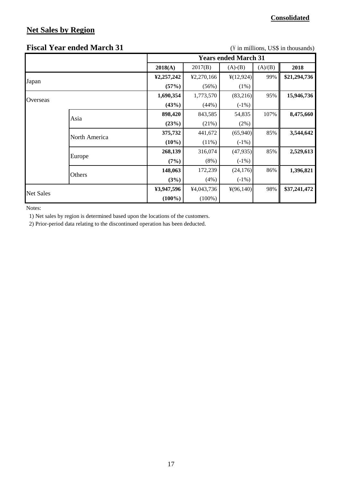## **Net Sales by Region**

#### **Consolidated**

#### **Fiscal Year ended March 31** (\ftdot in millions, US\$ in thousands)

|                  |               |            |            | <b>Years ended March 31</b> |         |              |
|------------------|---------------|------------|------------|-----------------------------|---------|--------------|
|                  |               | 2018(A)    | 2017(B)    | $(A)-(B)$                   | (A)/(B) | 2018         |
|                  |               | ¥2,257,242 | ¥2,270,166 | $\frac{1}{2}(12,924)$       | 99%     | \$21,294,736 |
| Japan            |               | (57%)      | (56%)      | $(1\%)$                     |         |              |
|                  |               | 1,690,354  | 1,773,570  | (83,216)                    | 95%     | 15,946,736   |
| Overseas         |               | (43%)      | (44%)      | $(-1%)$                     |         |              |
|                  |               | 898,420    | 843,585    | 54,835                      | 107%    | 8,475,660    |
|                  | Asia          | (23%)      | (21%)      | (2%)                        |         |              |
|                  |               | 375,732    | 441,672    | (65,940)                    | 85%     | 3,544,642    |
|                  | North America | $(10\%)$   | $(11\%)$   | $(-1%)$                     |         |              |
|                  |               | 268,139    | 316,074    | (47,935)                    | 85%     | 2,529,613    |
|                  | Europe        | (7%)       | $(8\%)$    | $(-1%)$                     |         |              |
|                  |               | 148,063    | 172,239    | (24, 176)                   | 86%     | 1,396,821    |
|                  | Others        | (3%)       | (4%)       | $(-1%)$                     |         |              |
|                  |               | ¥3,947,596 | ¥4,043,736 | $\frac{1}{2}(96,140)$       | 98%     | \$37,241,472 |
| <b>Net Sales</b> |               | $(100\%)$  | $(100\%)$  |                             |         |              |

Notes:

1) Net sales by region is determined based upon the locations of the customers.

2) Prior-period data relating to the discontinued operation has been deducted.